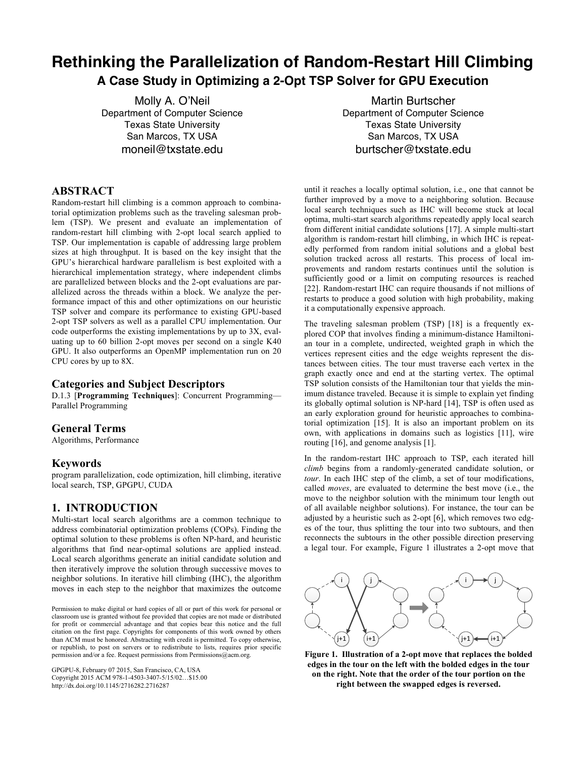# **Rethinking the Parallelization of Random-Restart Hill Climbing A Case Study in Optimizing a 2-Opt TSP Solver for GPU Execution**

Molly A. O'Neil Department of Computer Science Texas State University San Marcos, TX USA moneil@txstate.edu

#### **ABSTRACT**

Random-restart hill climbing is a common approach to combinatorial optimization problems such as the traveling salesman problem (TSP). We present and evaluate an implementation of random-restart hill climbing with 2-opt local search applied to TSP. Our implementation is capable of addressing large problem sizes at high throughput. It is based on the key insight that the GPU's hierarchical hardware parallelism is best exploited with a hierarchical implementation strategy, where independent climbs are parallelized between blocks and the 2-opt evaluations are parallelized across the threads within a block. We analyze the performance impact of this and other optimizations on our heuristic TSP solver and compare its performance to existing GPU-based 2-opt TSP solvers as well as a parallel CPU implementation. Our code outperforms the existing implementations by up to 3X, evaluating up to 60 billion 2-opt moves per second on a single K40 GPU. It also outperforms an OpenMP implementation run on 20 CPU cores by up to 8X.

#### **Categories and Subject Descriptors**

D.1.3 [**Programming Techniques**]: Concurrent Programming— Parallel Programming

#### **General Terms**

Algorithms, Performance

#### **Keywords**

program parallelization, code optimization, hill climbing, iterative local search, TSP, GPGPU, CUDA

#### **1. INTRODUCTION**

Multi-start local search algorithms are a common technique to address combinatorial optimization problems (COPs). Finding the optimal solution to these problems is often NP-hard, and heuristic algorithms that find near-optimal solutions are applied instead. Local search algorithms generate an initial candidate solution and then iteratively improve the solution through successive moves to neighbor solutions. In iterative hill climbing (IHC), the algorithm moves in each step to the neighbor that maximizes the outcome

Permission to make digital or hard copies of all or part of this work for personal or classroom use is granted without fee provided that copies are not made or distributed for profit or commercial advantage and that copies bear this notice and the full citation on the first page. Copyrights for components of this work owned by others than ACM must be honored. Abstracting with credit is permitted. To copy otherwise, or republish, to post on servers or to redistribute to lists, requires prior specific permission and/or a fee. Request permissions from Permissions  $@a$ cm.org.

GPGPU-8, February 07 2015, San Francisco, CA, USA Copyright 2015 ACM 978-1-4503-3407-5/15/02…\$15.00 http://dx.doi.org/10.1145/2716282.2716287

Martin Burtscher Department of Computer Science Texas State University San Marcos, TX USA burtscher@txstate.edu

until it reaches a locally optimal solution, i.e., one that cannot be further improved by a move to a neighboring solution. Because local search techniques such as IHC will become stuck at local optima, multi-start search algorithms repeatedly apply local search from different initial candidate solutions [17]. A simple multi-start algorithm is random-restart hill climbing, in which IHC is repeatedly performed from random initial solutions and a global best solution tracked across all restarts. This process of local improvements and random restarts continues until the solution is sufficiently good or a limit on computing resources is reached [22]. Random-restart IHC can require thousands if not millions of restarts to produce a good solution with high probability, making it a computationally expensive approach.

The traveling salesman problem (TSP) [18] is a frequently explored COP that involves finding a minimum-distance Hamiltonian tour in a complete, undirected, weighted graph in which the vertices represent cities and the edge weights represent the distances between cities. The tour must traverse each vertex in the graph exactly once and end at the starting vertex. The optimal TSP solution consists of the Hamiltonian tour that yields the minimum distance traveled. Because it is simple to explain yet finding its globally optimal solution is NP-hard [14], TSP is often used as an early exploration ground for heuristic approaches to combinatorial optimization [15]. It is also an important problem on its own, with applications in domains such as logistics [11], wire routing [16], and genome analysis [1].

In the random-restart IHC approach to TSP, each iterated hill *climb* begins from a randomly-generated candidate solution, or *tour*. In each IHC step of the climb, a set of tour modifications, called *moves*, are evaluated to determine the best move (i.e., the move to the neighbor solution with the minimum tour length out of all available neighbor solutions). For instance, the tour can be adjusted by a heuristic such as 2-opt [6], which removes two edges of the tour, thus splitting the tour into two subtours, and then reconnects the subtours in the other possible direction preserving a legal tour. For example, Figure 1 illustrates a 2-opt move that



**Figure 1. Illustration of a 2-opt move that replaces the bolded edges in the tour on the left with the bolded edges in the tour on the right. Note that the order of the tour portion on the right between the swapped edges is reversed.**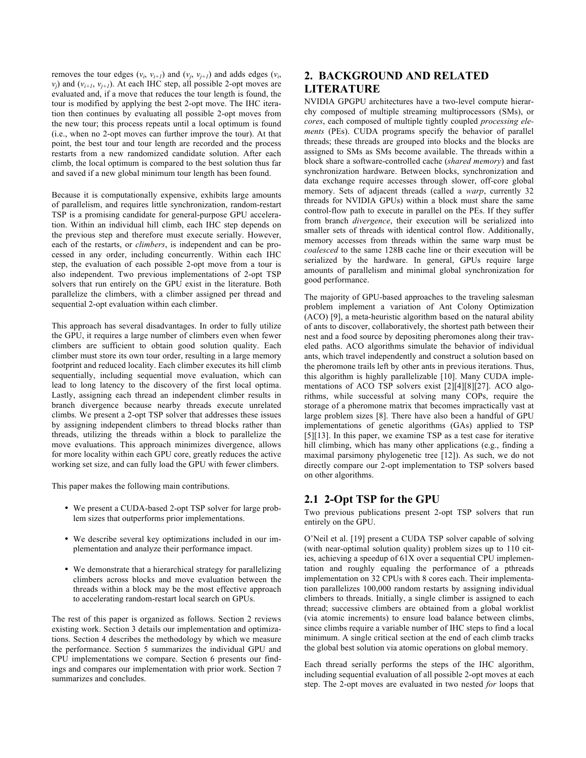removes the tour edges  $(v_i, v_{i+1})$  and  $(v_j, v_{j+1})$  and adds edges  $(v_i, v_{j+1})$  $v_i$ ) and  $(v_{i+1}, v_{i+1})$ . At each IHC step, all possible 2-opt moves are evaluated and, if a move that reduces the tour length is found, the tour is modified by applying the best 2-opt move. The IHC iteration then continues by evaluating all possible 2-opt moves from the new tour; this process repeats until a local optimum is found (i.e., when no 2-opt moves can further improve the tour). At that point, the best tour and tour length are recorded and the process restarts from a new randomized candidate solution. After each climb, the local optimum is compared to the best solution thus far and saved if a new global minimum tour length has been found.

Because it is computationally expensive, exhibits large amounts of parallelism, and requires little synchronization, random-restart TSP is a promising candidate for general-purpose GPU acceleration. Within an individual hill climb, each IHC step depends on the previous step and therefore must execute serially. However, each of the restarts, or *climbers*, is independent and can be processed in any order, including concurrently. Within each IHC step, the evaluation of each possible 2-opt move from a tour is also independent. Two previous implementations of 2-opt TSP solvers that run entirely on the GPU exist in the literature. Both parallelize the climbers, with a climber assigned per thread and sequential 2-opt evaluation within each climber.

This approach has several disadvantages. In order to fully utilize the GPU, it requires a large number of climbers even when fewer climbers are sufficient to obtain good solution quality. Each climber must store its own tour order, resulting in a large memory footprint and reduced locality. Each climber executes its hill climb sequentially, including sequential move evaluation, which can lead to long latency to the discovery of the first local optima. Lastly, assigning each thread an independent climber results in branch divergence because nearby threads execute unrelated climbs. We present a 2-opt TSP solver that addresses these issues by assigning independent climbers to thread blocks rather than threads, utilizing the threads within a block to parallelize the move evaluations. This approach minimizes divergence, allows for more locality within each GPU core, greatly reduces the active working set size, and can fully load the GPU with fewer climbers.

This paper makes the following main contributions.

- We present a CUDA-based 2-opt TSP solver for large problem sizes that outperforms prior implementations.
- We describe several key optimizations included in our implementation and analyze their performance impact.
- We demonstrate that a hierarchical strategy for parallelizing climbers across blocks and move evaluation between the threads within a block may be the most effective approach to accelerating random-restart local search on GPUs.

The rest of this paper is organized as follows. Section 2 reviews existing work. Section 3 details our implementation and optimizations. Section 4 describes the methodology by which we measure the performance. Section 5 summarizes the individual GPU and CPU implementations we compare. Section 6 presents our findings and compares our implementation with prior work. Section 7 summarizes and concludes.

### **2. BACKGROUND AND RELATED LITERATURE**

NVIDIA GPGPU architectures have a two-level compute hierarchy composed of multiple streaming multiprocessors (SMs), or *cores*, each composed of multiple tightly coupled *processing elements* (PEs). CUDA programs specify the behavior of parallel threads; these threads are grouped into blocks and the blocks are assigned to SMs as SMs become available. The threads within a block share a software-controlled cache (*shared memory*) and fast synchronization hardware. Between blocks, synchronization and data exchange require accesses through slower, off-core global memory. Sets of adjacent threads (called a *warp*, currently 32 threads for NVIDIA GPUs) within a block must share the same control-flow path to execute in parallel on the PEs. If they suffer from branch *divergence*, their execution will be serialized into smaller sets of threads with identical control flow. Additionally, memory accesses from threads within the same warp must be *coalesced* to the same 128B cache line or their execution will be serialized by the hardware. In general, GPUs require large amounts of parallelism and minimal global synchronization for good performance.

The majority of GPU-based approaches to the traveling salesman problem implement a variation of Ant Colony Optimization (ACO) [9], a meta-heuristic algorithm based on the natural ability of ants to discover, collaboratively, the shortest path between their nest and a food source by depositing pheromones along their traveled paths. ACO algorithms simulate the behavior of individual ants, which travel independently and construct a solution based on the pheromone trails left by other ants in previous iterations. Thus, this algorithm is highly parallelizable [10]. Many CUDA implementations of ACO TSP solvers exist [2][4][8][27]. ACO algorithms, while successful at solving many COPs, require the storage of a pheromone matrix that becomes impractically vast at large problem sizes [8]. There have also been a handful of GPU implementations of genetic algorithms (GAs) applied to TSP [5][13]. In this paper, we examine TSP as a test case for iterative hill climbing, which has many other applications (e.g., finding a maximal parsimony phylogenetic tree [12]). As such, we do not directly compare our 2-opt implementation to TSP solvers based on other algorithms.

### **2.1 2-Opt TSP for the GPU**

Two previous publications present 2-opt TSP solvers that run entirely on the GPU.

O'Neil et al. [19] present a CUDA TSP solver capable of solving (with near-optimal solution quality) problem sizes up to 110 cities, achieving a speedup of 61X over a sequential CPU implementation and roughly equaling the performance of a pthreads implementation on 32 CPUs with 8 cores each. Their implementation parallelizes 100,000 random restarts by assigning individual climbers to threads. Initially, a single climber is assigned to each thread; successive climbers are obtained from a global worklist (via atomic increments) to ensure load balance between climbs, since climbs require a variable number of IHC steps to find a local minimum. A single critical section at the end of each climb tracks the global best solution via atomic operations on global memory.

Each thread serially performs the steps of the IHC algorithm, including sequential evaluation of all possible 2-opt moves at each step. The 2-opt moves are evaluated in two nested *for* loops that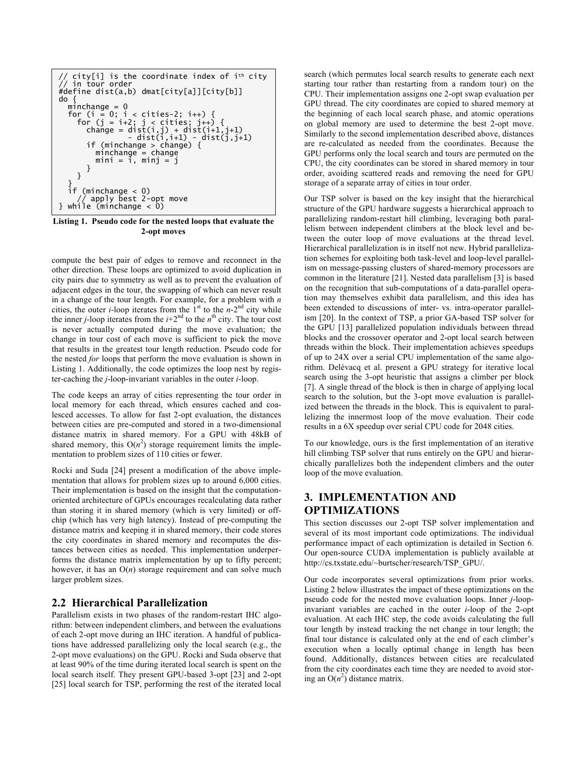```
// city[i] is the coordinate index of ith city
// in tour order
#define dist(a,b) dmat[city[a]][city[b]]
do {
 minchange = 0
 for (i = 0; i < cities-2; i++) {
 for (j = i+2; j < cities; j++) {
 change = dist(i,j) + dist(i+1,j+1)
 - dist(i,i+1) - dist(j,j+1)
 if (minchange > change) {
 minchange = change
          if (minchange > change) {<br>minchange = change<br>mini = i, minj = j
           }
       }
 }
   if (minchange < 0)
 // apply best 2-opt move
} while (minchange < 0)
```
**Listing 1. Pseudo code for the nested loops that evaluate the 2-opt moves**

compute the best pair of edges to remove and reconnect in the other direction. These loops are optimized to avoid duplication in city pairs due to symmetry as well as to prevent the evaluation of adjacent edges in the tour, the swapping of which can never result in a change of the tour length. For example, for a problem with *n* cities, the outer *i*-loop iterates from the  $1<sup>st</sup>$  to the *n*-2<sup>nd</sup> city while the inner *j*-loop iterates from the  $i+2<sup>nd</sup>$  to the  $n<sup>th</sup>$  city. The tour cost is never actually computed during the move evaluation; the change in tour cost of each move is sufficient to pick the move that results in the greatest tour length reduction. Pseudo code for the nested *for* loops that perform the move evaluation is shown in Listing 1. Additionally, the code optimizes the loop nest by register-caching the *j*-loop-invariant variables in the outer *i*-loop.

The code keeps an array of cities representing the tour order in local memory for each thread, which ensures cached and coalesced accesses. To allow for fast 2-opt evaluation, the distances between cities are pre-computed and stored in a two-dimensional distance matrix in shared memory. For a GPU with 48kB of shared memory, this  $O(n^2)$  storage requirement limits the implementation to problem sizes of 110 cities or fewer.

Rocki and Suda [24] present a modification of the above implementation that allows for problem sizes up to around 6,000 cities. Their implementation is based on the insight that the computationoriented architecture of GPUs encourages recalculating data rather than storing it in shared memory (which is very limited) or offchip (which has very high latency). Instead of pre-computing the distance matrix and keeping it in shared memory, their code stores the city coordinates in shared memory and recomputes the distances between cities as needed. This implementation underperforms the distance matrix implementation by up to fifty percent; however, it has an  $O(n)$  storage requirement and can solve much larger problem sizes.

### **2.2 Hierarchical Parallelization**

Parallelism exists in two phases of the random-restart IHC algorithm: between independent climbers, and between the evaluations of each 2-opt move during an IHC iteration. A handful of publications have addressed parallelizing only the local search (e.g., the 2-opt move evaluations) on the GPU. Rocki and Suda observe that at least 90% of the time during iterated local search is spent on the local search itself. They present GPU-based 3-opt [23] and 2-opt [25] local search for TSP, performing the rest of the iterated local

search (which permutes local search results to generate each next starting tour rather than restarting from a random tour) on the CPU. Their implementation assigns one 2-opt swap evaluation per GPU thread. The city coordinates are copied to shared memory at the beginning of each local search phase, and atomic operations on global memory are used to determine the best 2-opt move. Similarly to the second implementation described above, distances are re-calculated as needed from the coordinates. Because the GPU performs only the local search and tours are permuted on the CPU, the city coordinates can be stored in shared memory in tour order, avoiding scattered reads and removing the need for GPU storage of a separate array of cities in tour order.

Our TSP solver is based on the key insight that the hierarchical structure of the GPU hardware suggests a hierarchical approach to parallelizing random-restart hill climbing, leveraging both parallelism between independent climbers at the block level and between the outer loop of move evaluations at the thread level. Hierarchical parallelization is in itself not new. Hybrid parallelization schemes for exploiting both task-level and loop-level parallelism on message-passing clusters of shared-memory processors are common in the literature [21]. Nested data parallelism [3] is based on the recognition that sub-computations of a data-parallel operation may themselves exhibit data parallelism, and this idea has been extended to discussions of inter- vs. intra-operator parallelism [20]. In the context of TSP, a prior GA-based TSP solver for the GPU [13] parallelized population individuals between thread blocks and the crossover operator and 2-opt local search between threads within the block. Their implementation achieves speedups of up to 24X over a serial CPU implementation of the same algorithm. Delévacq et al. present a GPU strategy for iterative local search using the 3-opt heuristic that assigns a climber per block [7]. A single thread of the block is then in charge of applying local search to the solution, but the 3-opt move evaluation is parallelized between the threads in the block. This is equivalent to parallelizing the innermost loop of the move evaluation. Their code results in a 6X speedup over serial CPU code for 2048 cities.

To our knowledge, ours is the first implementation of an iterative hill climbing TSP solver that runs entirely on the GPU and hierarchically parallelizes both the independent climbers and the outer loop of the move evaluation.

# **3. IMPLEMENTATION AND OPTIMIZATIONS**

This section discusses our 2-opt TSP solver implementation and several of its most important code optimizations. The individual performance impact of each optimization is detailed in Section 6. Our open-source CUDA implementation is publicly available at http://cs.txstate.edu/~burtscher/research/TSP\_GPU/.

Our code incorporates several optimizations from prior works. Listing 2 below illustrates the impact of these optimizations on the pseudo code for the nested move evaluation loops. Inner *j*-loopinvariant variables are cached in the outer *i*-loop of the 2-opt evaluation. At each IHC step, the code avoids calculating the full tour length by instead tracking the net change in tour length; the final tour distance is calculated only at the end of each climber's execution when a locally optimal change in length has been found. Additionally, distances between cities are recalculated from the city coordinates each time they are needed to avoid storing an  $O(n^2)$  distance matrix.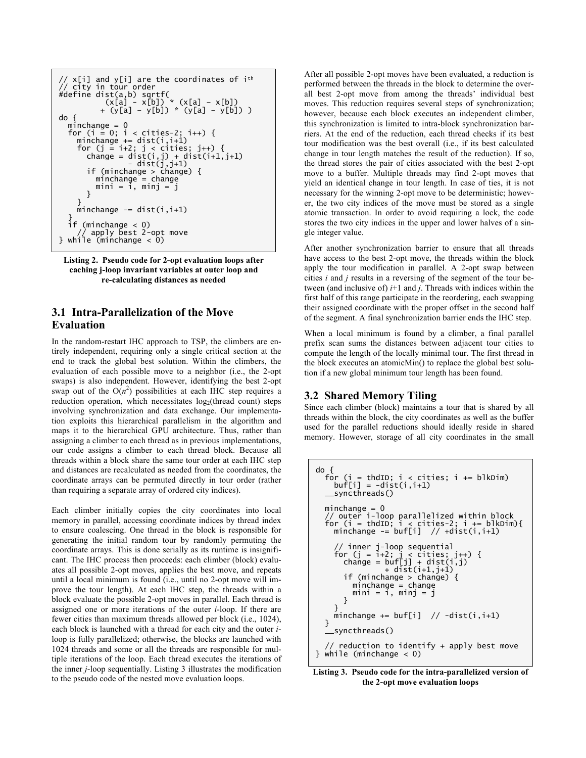```
/ x[i] and y[i] are the coordinates of ith
// city in tour order
#define dist(a,b) sqrtf(
 (x[a] - x[b]) * (x[a] – x[b])
 + (y[a] – y[b]) * (y[a] – y[b]) )
do {
 minchange = 0
  for (i = 0; i < cities-2; i+1) {
 minchange += dist(i,i+1)
 for (j = i+2; j < cities; j++) {
 change = dist(i,j) + dist(i+1,j+1)
 - dist(j,j+1)
       if (minchange > change) {
         minchange = change
         mini = i, minj = j }
     }
    minchange -= dist(i,i+1)
 }
   if (minchange < 0)
 // apply best 2-opt move
} while (minchange < 0)
```
**Listing 2. Pseudo code for 2-opt evaluation loops after caching j-loop invariant variables at outer loop and re-calculating distances as needed**

### **3.1 Intra-Parallelization of the Move Evaluation**

In the random-restart IHC approach to TSP, the climbers are entirely independent, requiring only a single critical section at the end to track the global best solution. Within the climbers, the evaluation of each possible move to a neighbor (i.e., the 2-opt swaps) is also independent. However, identifying the best 2-opt swap out of the  $O(n^2)$  possibilities at each IHC step requires a reduction operation, which necessitates  $log_2$ (thread count) steps involving synchronization and data exchange. Our implementation exploits this hierarchical parallelism in the algorithm and maps it to the hierarchical GPU architecture. Thus, rather than assigning a climber to each thread as in previous implementations, our code assigns a climber to each thread block. Because all threads within a block share the same tour order at each IHC step and distances are recalculated as needed from the coordinates, the coordinate arrays can be permuted directly in tour order (rather than requiring a separate array of ordered city indices).

Each climber initially copies the city coordinates into local memory in parallel, accessing coordinate indices by thread index to ensure coalescing. One thread in the block is responsible for generating the initial random tour by randomly permuting the coordinate arrays. This is done serially as its runtime is insignificant. The IHC process then proceeds: each climber (block) evaluates all possible 2-opt moves, applies the best move, and repeats until a local minimum is found (i.e., until no 2-opt move will improve the tour length). At each IHC step, the threads within a block evaluate the possible 2-opt moves in parallel. Each thread is assigned one or more iterations of the outer *i*-loop. If there are fewer cities than maximum threads allowed per block (i.e., 1024), each block is launched with a thread for each city and the outer *i*loop is fully parallelized; otherwise, the blocks are launched with 1024 threads and some or all the threads are responsible for multiple iterations of the loop. Each thread executes the iterations of the inner *j*-loop sequentially. Listing 3 illustrates the modification to the pseudo code of the nested move evaluation loops.

After all possible 2-opt moves have been evaluated, a reduction is performed between the threads in the block to determine the overall best 2-opt move from among the threads' individual best moves. This reduction requires several steps of synchronization; however, because each block executes an independent climber, this synchronization is limited to intra-block synchronization barriers. At the end of the reduction, each thread checks if its best tour modification was the best overall (i.e., if its best calculated change in tour length matches the result of the reduction). If so, the thread stores the pair of cities associated with the best 2-opt move to a buffer. Multiple threads may find 2-opt moves that yield an identical change in tour length. In case of ties, it is not necessary for the winning 2-opt move to be deterministic; however, the two city indices of the move must be stored as a single atomic transaction. In order to avoid requiring a lock, the code stores the two city indices in the upper and lower halves of a single integer value.

After another synchronization barrier to ensure that all threads have access to the best 2-opt move, the threads within the block apply the tour modification in parallel. A 2-opt swap between cities *i* and *j* results in a reversing of the segment of the tour between (and inclusive of)  $i+1$  and  $j$ . Threads with indices within the first half of this range participate in the reordering, each swapping their assigned coordinate with the proper offset in the second half of the segment. A final synchronization barrier ends the IHC step.

When a local minimum is found by a climber, a final parallel prefix scan sums the distances between adjacent tour cities to compute the length of the locally minimal tour. The first thread in the block executes an atomicMin() to replace the global best solution if a new global minimum tour length has been found.

#### **3.2 Shared Memory Tiling**

Since each climber (block) maintains a tour that is shared by all threads within the block, the city coordinates as well as the buffer used for the parallel reductions should ideally reside in shared memory. However, storage of all city coordinates in the small

```
do {
 for (i = thdID; i < cities; i += blkDim) buf[i] = -dist(i,i+1)
 __syncthreads()
   minchange = 0 // outer i-loop parallelized within block
 for (i = thdID; i < cities-2; i += blkDim){
 minchange -= buf[i] // +dist(i,i+1)
 // inner j-loop sequential
 for (j = i+2; j < cities; j++) {
 change = buf[j] + dist(i,j)
 + dist(i+1,j+1)
         if (minchange > change) {
            minchange = change
           mini = i, minj = j
         }
 }
     minchange += buf[i] // -dist(i,i+1)
    }
      __syncthreads()
      reduction to identify + apply best move
} while (minchange < 0)
```

```
Listing 3. Pseudo code for the intra-parallelized version of 
             the 2-opt move evaluation loops
```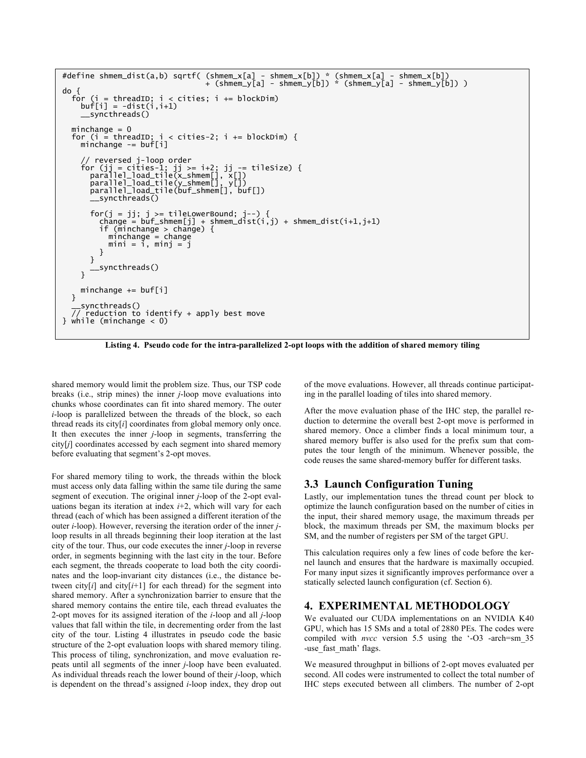```
#define shmem_dist(a,b) sqrtf( (shmem_x[a] - shmem_x[b]) * (shmem_x[a] - shmem_x[b])
 + (shmem_y[a] - shmem_y[b]) * (shmem_y[a] - shmem_y[b]) )
do {
 for (i = threadID; i < cities; i += blockDim)
      buf[i] = -dist(i,i+1) __syncthreads()
  minchange = 0
    for (i = threadID; i < cities-2; i += blockDim) { minchange -= buf[i]
// reversed j-loop order<br>for (jj = cities-1; jj >= i+2; jj -= tileSize) {<br>parallel_load_tile(x_shmem[], x[])
          parallel_load_tile(y_shmem[], y[]) parallel_load_tile(buf_shmem[], buf[])
             __syncthreads()
 for(j = jj; j >= tileLowerBound; j--) {
 change = buf_shmem[j] + shmem_dist(i,j) + shmem_dist(i+1,j+1)
              if (minchange > change) { minchange = change
            mini = i̇̃, minj = j̇̃<br>}
\begin{smallmatrix}&&3\\&&3\\1&&&&3\end{smallmatrix} __syncthreads()
       }
       minchange += buf[i]
    }
       __syncthreads()
   \overline{\sqrt{\prime}} reduction to identify + apply best move
} while (minchange < 0)
```
**Listing 4. Pseudo code for the intra-parallelized 2-opt loops with the addition of shared memory tiling**

shared memory would limit the problem size. Thus, our TSP code breaks (i.e., strip mines) the inner *j*-loop move evaluations into chunks whose coordinates can fit into shared memory. The outer *i*-loop is parallelized between the threads of the block, so each thread reads its city[*i*] coordinates from global memory only once. It then executes the inner *j*-loop in segments, transferring the city[*j*] coordinates accessed by each segment into shared memory before evaluating that segment's 2-opt moves.

For shared memory tiling to work, the threads within the block must access only data falling within the same tile during the same segment of execution. The original inner *j*-loop of the 2-opt evaluations began its iteration at index  $i+2$ , which will vary for each thread (each of which has been assigned a different iteration of the outer *i*-loop). However, reversing the iteration order of the inner *j*loop results in all threads beginning their loop iteration at the last city of the tour. Thus, our code executes the inner *j*-loop in reverse order, in segments beginning with the last city in the tour. Before each segment, the threads cooperate to load both the city coordinates and the loop-invariant city distances (i.e., the distance between city[ $i$ ] and city[ $i+1$ ] for each thread) for the segment into shared memory. After a synchronization barrier to ensure that the shared memory contains the entire tile, each thread evaluates the 2-opt moves for its assigned iteration of the *i*-loop and all *j*-loop values that fall within the tile, in decrementing order from the last city of the tour. Listing 4 illustrates in pseudo code the basic structure of the 2-opt evaluation loops with shared memory tiling. This process of tiling, synchronization, and move evaluation repeats until all segments of the inner *j*-loop have been evaluated. As individual threads reach the lower bound of their *j*-loop, which is dependent on the thread's assigned *i*-loop index, they drop out of the move evaluations. However, all threads continue participating in the parallel loading of tiles into shared memory.

After the move evaluation phase of the IHC step, the parallel reduction to determine the overall best 2-opt move is performed in shared memory. Once a climber finds a local minimum tour, a shared memory buffer is also used for the prefix sum that computes the tour length of the minimum. Whenever possible, the code reuses the same shared-memory buffer for different tasks.

#### **3.3 Launch Configuration Tuning**

Lastly, our implementation tunes the thread count per block to optimize the launch configuration based on the number of cities in the input, their shared memory usage, the maximum threads per block, the maximum threads per SM, the maximum blocks per SM, and the number of registers per SM of the target GPU.

This calculation requires only a few lines of code before the kernel launch and ensures that the hardware is maximally occupied. For many input sizes it significantly improves performance over a statically selected launch configuration (cf. Section 6).

#### **4. EXPERIMENTAL METHODOLOGY**

We evaluated our CUDA implementations on an NVIDIA K40 GPU, which has 15 SMs and a total of 2880 PEs. The codes were compiled with *nvcc* version 5.5 using the '-O3 -arch=sm\_35 -use fast math' flags.

We measured throughput in billions of 2-opt moves evaluated per second. All codes were instrumented to collect the total number of IHC steps executed between all climbers. The number of 2-opt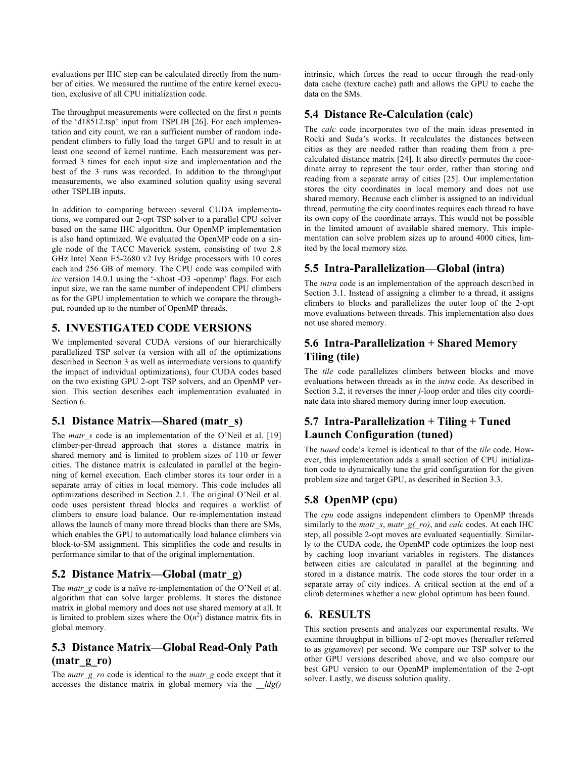evaluations per IHC step can be calculated directly from the number of cities. We measured the runtime of the entire kernel execution, exclusive of all CPU initialization code.

The throughput measurements were collected on the first *n* points of the 'd18512.tsp' input from TSPLIB [26]. For each implementation and city count, we ran a sufficient number of random independent climbers to fully load the target GPU and to result in at least one second of kernel runtime. Each measurement was performed 3 times for each input size and implementation and the best of the 3 runs was recorded. In addition to the throughput measurements, we also examined solution quality using several other TSPLIB inputs.

In addition to comparing between several CUDA implementations, we compared our 2-opt TSP solver to a parallel CPU solver based on the same IHC algorithm. Our OpenMP implementation is also hand optimized. We evaluated the OpenMP code on a single node of the TACC Maverick system, consisting of two 2.8 GHz Intel Xeon E5-2680 v2 Ivy Bridge processors with 10 cores each and 256 GB of memory. The CPU code was compiled with *icc* version 14.0.1 using the '-xhost -O3 -openmp' flags. For each input size, we ran the same number of independent CPU climbers as for the GPU implementation to which we compare the throughput, rounded up to the number of OpenMP threads.

### **5. INVESTIGATED CODE VERSIONS**

We implemented several CUDA versions of our hierarchically parallelized TSP solver (a version with all of the optimizations described in Section 3 as well as intermediate versions to quantify the impact of individual optimizations), four CUDA codes based on the two existing GPU 2-opt TSP solvers, and an OpenMP version. This section describes each implementation evaluated in Section 6.

### **5.1 Distance Matrix—Shared (matr\_s)**

The *matr s* code is an implementation of the O'Neil et al. [19] climber-per-thread approach that stores a distance matrix in shared memory and is limited to problem sizes of 110 or fewer cities. The distance matrix is calculated in parallel at the beginning of kernel execution. Each climber stores its tour order in a separate array of cities in local memory. This code includes all optimizations described in Section 2.1. The original O'Neil et al. code uses persistent thread blocks and requires a worklist of climbers to ensure load balance. Our re-implementation instead allows the launch of many more thread blocks than there are SMs, which enables the GPU to automatically load balance climbers via block-to-SM assignment. This simplifies the code and results in performance similar to that of the original implementation.

# **5.2 Distance Matrix—Global (matr\_g)**

The *matr\_g* code is a naïve re-implementation of the O'Neil et al. algorithm that can solve larger problems. It stores the distance matrix in global memory and does not use shared memory at all. It is limited to problem sizes where the  $O(n^2)$  distance matrix fits in global memory.

### **5.3 Distance Matrix—Global Read-Only Path (matr\_g\_ro)**

The *matr\_g\_ro* code is identical to the *matr\_g* code except that it accesses the distance matrix in global memory via the *ldg()* 

intrinsic, which forces the read to occur through the read-only data cache (texture cache) path and allows the GPU to cache the data on the SMs.

### **5.4 Distance Re-Calculation (calc)**

The *calc* code incorporates two of the main ideas presented in Rocki and Suda's works. It recalculates the distances between cities as they are needed rather than reading them from a precalculated distance matrix [24]. It also directly permutes the coordinate array to represent the tour order, rather than storing and reading from a separate array of cities [25]. Our implementation stores the city coordinates in local memory and does not use shared memory. Because each climber is assigned to an individual thread, permuting the city coordinates requires each thread to have its own copy of the coordinate arrays. This would not be possible in the limited amount of available shared memory. This implementation can solve problem sizes up to around 4000 cities, limited by the local memory size.

# **5.5 Intra-Parallelization—Global (intra)**

The *intra* code is an implementation of the approach described in Section 3.1. Instead of assigning a climber to a thread, it assigns climbers to blocks and parallelizes the outer loop of the 2-opt move evaluations between threads. This implementation also does not use shared memory.

### **5.6 Intra-Parallelization + Shared Memory Tiling (tile)**

The *tile* code parallelizes climbers between blocks and move evaluations between threads as in the *intra* code. As described in Section 3.2, it reverses the inner *j*-loop order and tiles city coordinate data into shared memory during inner loop execution.

# **5.7 Intra-Parallelization + Tiling + Tuned Launch Configuration (tuned)**

The *tuned* code's kernel is identical to that of the *tile* code. However, this implementation adds a small section of CPU initialization code to dynamically tune the grid configuration for the given problem size and target GPU, as described in Section 3.3.

# **5.8 OpenMP (cpu)**

The *cpu* code assigns independent climbers to OpenMP threads similarly to the *matr\_s*, *matr\_g(\_ro)*, and *calc* codes. At each IHC step, all possible 2-opt moves are evaluated sequentially. Similarly to the CUDA code, the OpenMP code optimizes the loop nest by caching loop invariant variables in registers. The distances between cities are calculated in parallel at the beginning and stored in a distance matrix. The code stores the tour order in a separate array of city indices. A critical section at the end of a climb determines whether a new global optimum has been found.

# **6. RESULTS**

This section presents and analyzes our experimental results. We examine throughput in billions of 2-opt moves (hereafter referred to as *gigamoves*) per second. We compare our TSP solver to the other GPU versions described above, and we also compare our best GPU version to our OpenMP implementation of the 2-opt solver. Lastly, we discuss solution quality.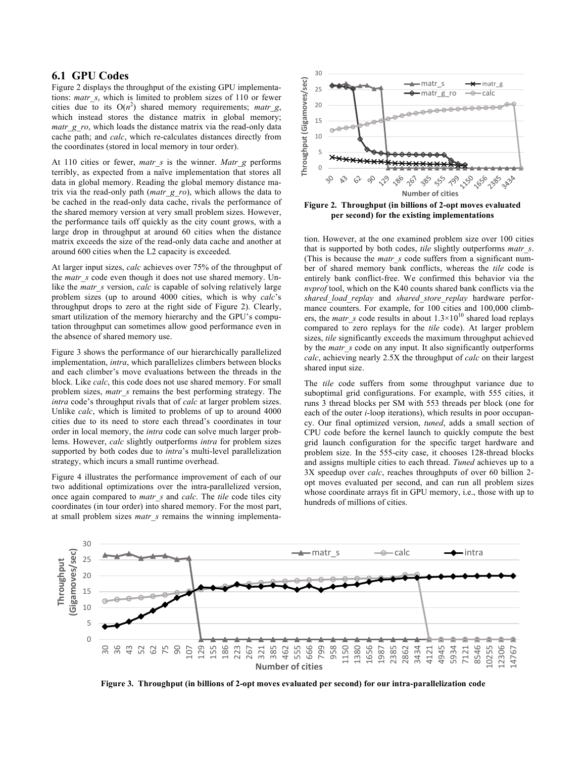#### **6.1 GPU Codes**

Figure 2 displays the throughput of the existing GPU implementations: *matr\_s*, which is limited to problem sizes of 110 or fewer cities due to its  $O(n^2)$  shared memory requirements; *matr g*, which instead stores the distance matrix in global memory; *matr\_g\_ro*, which loads the distance matrix via the read-only data cache path; and *calc*, which re-calculates distances directly from the coordinates (stored in local memory in tour order).

At 110 cities or fewer, *matr\_s* is the winner. *Matr\_g* performs terribly, as expected from a naïve implementation that stores all data in global memory. Reading the global memory distance matrix via the read-only path (*matr\_g\_ro*), which allows the data to be cached in the read-only data cache, rivals the performance of the shared memory version at very small problem sizes. However, the performance tails off quickly as the city count grows, with a large drop in throughput at around 60 cities when the distance matrix exceeds the size of the read-only data cache and another at around 600 cities when the L2 capacity is exceeded.

At larger input sizes, *calc* achieves over 75% of the throughput of the *matr* s code even though it does not use shared memory. Unlike the *matr s* version, *calc* is capable of solving relatively large problem sizes (up to around 4000 cities, which is why *calc*'s throughput drops to zero at the right side of Figure 2). Clearly, smart utilization of the memory hierarchy and the GPU's computation throughput can sometimes allow good performance even in the absence of shared memory use.

Figure 3 shows the performance of our hierarchically parallelized implementation, *intra*, which parallelizes climbers between blocks and each climber's move evaluations between the threads in the block. Like *calc*, this code does not use shared memory. For small problem sizes, *matr\_s* remains the best performing strategy. The *intra* code's throughput rivals that of *calc* at larger problem sizes. Unlike *calc*, which is limited to problems of up to around 4000 cities due to its need to store each thread's coordinates in tour order in local memory, the *intra* code can solve much larger problems. However, *calc* slightly outperforms *intra* for problem sizes supported by both codes due to *intra*'s multi-level parallelization strategy, which incurs a small runtime overhead.

Figure 4 illustrates the performance improvement of each of our two additional optimizations over the intra-parallelized version, once again compared to *matr\_s* and *calc*. The *tile* code tiles city coordinates (in tour order) into shared memory. For the most part, at small problem sizes *matr\_s* remains the winning implementa-



**Figure 2. Throughput (in billions of 2-opt moves evaluated per second) for the existing implementations**

tion. However, at the one examined problem size over 100 cities that is supported by both codes, *tile* slightly outperforms *matr\_s*. (This is because the *matr\_s* code suffers from a significant number of shared memory bank conflicts, whereas the *tile* code is entirely bank conflict-free. We confirmed this behavior via the *nvprof* tool, which on the K40 counts shared bank conflicts via the *shared\_load\_replay* and *shared\_store\_replay* hardware performance counters. For example, for 100 cities and 100,000 climbers, the *matr* s code results in about  $1.3 \times 10^{10}$  shared load replays compared to zero replays for the *tile* code). At larger problem sizes, *tile* significantly exceeds the maximum throughput achieved by the *matr\_s* code on any input. It also significantly outperforms *calc*, achieving nearly 2.5X the throughput of *calc* on their largest shared input size.

The *tile* code suffers from some throughput variance due to suboptimal grid configurations. For example, with 555 cities, it runs 3 thread blocks per SM with 553 threads per block (one for each of the outer *i*-loop iterations), which results in poor occupancy. Our final optimized version, *tuned*, adds a small section of CPU code before the kernel launch to quickly compute the best grid launch configuration for the specific target hardware and problem size. In the 555-city case, it chooses 128-thread blocks and assigns multiple cities to each thread. *Tuned* achieves up to a 3X speedup over *calc*, reaches throughputs of over 60 billion 2 opt moves evaluated per second, and can run all problem sizes whose coordinate arrays fit in GPU memory, i.e., those with up to hundreds of millions of cities.



**Figure 3. Throughput (in billions of 2-opt moves evaluated per second) for our intra-parallelization code**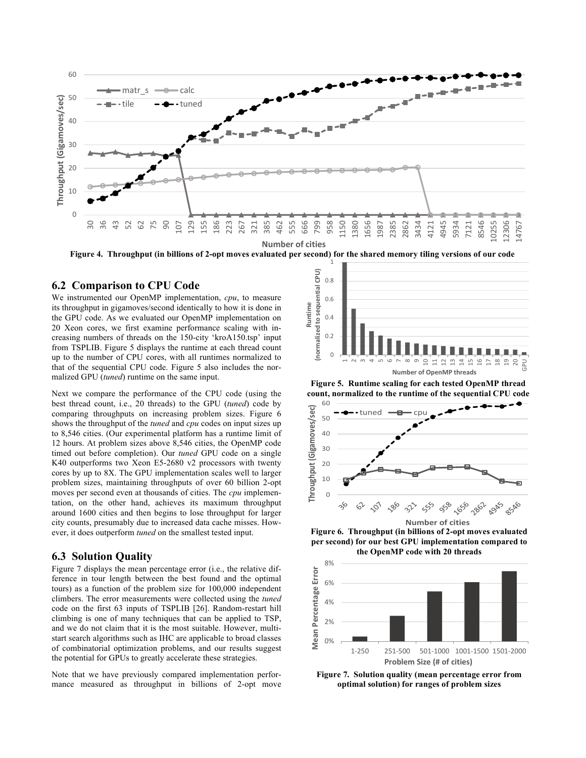

**Figure 4. Throughput (in billions of 2-opt moves evaluated per second) for the shared memory tiling versions of our code**

#### **6.2 Comparison to CPU Code**

We instrumented our OpenMP implementation, *cpu*, to measure its throughput in gigamoves/second identically to how it is done in the GPU code. As we evaluated our OpenMP implementation on 20 Xeon cores, we first examine performance scaling with increasing numbers of threads on the 150-city 'kroA150.tsp' input from TSPLIB. Figure 5 displays the runtime at each thread count up to the number of CPU cores, with all runtimes normalized to that of the sequential CPU code. Figure 5 also includes the normalized GPU (*tuned*) runtime on the same input.

Next we compare the performance of the CPU code (using the best thread count, i.e., 20 threads) to the GPU (*tuned*) code by comparing throughputs on increasing problem sizes. Figure 6 shows the throughput of the *tuned* and *cpu* codes on input sizes up to 8,546 cities. (Our experimental platform has a runtime limit of 12 hours. At problem sizes above 8,546 cities, the OpenMP code timed out before completion). Our *tuned* GPU code on a single K40 outperforms two Xeon E5-2680 v2 processors with twenty cores by up to 8X. The GPU implementation scales well to larger problem sizes, maintaining throughputs of over 60 billion 2-opt moves per second even at thousands of cities. The *cpu* implementation, on the other hand, achieves its maximum throughput around 1600 cities and then begins to lose throughput for larger city counts, presumably due to increased data cache misses. However, it does outperform *tuned* on the smallest tested input.

#### **6.3 Solution Quality**

Figure 7 displays the mean percentage error (i.e., the relative difference in tour length between the best found and the optimal tours) as a function of the problem size for 100,000 independent climbers. The error measurements were collected using the *tuned* code on the first 63 inputs of TSPLIB [26]. Random-restart hill climbing is one of many techniques that can be applied to TSP, and we do not claim that it is the most suitable. However, multistart search algorithms such as IHC are applicable to broad classes of combinatorial optimization problems, and our results suggest the potential for GPUs to greatly accelerate these strategies.

Note that we have previously compared implementation performance measured as throughput in billions of 2-opt move



**Figure 5. Runtime scaling for each tested OpenMP thread count, normalized to the runtime of the sequential CPU code**



**Number of cities**

**Figure 6. Throughput (in billions of 2-opt moves evaluated per second) for our best GPU implementation compared to the OpenMP code with 20 threads**



**Figure 7. Solution quality (mean percentage error from optimal solution) for ranges of problem sizes**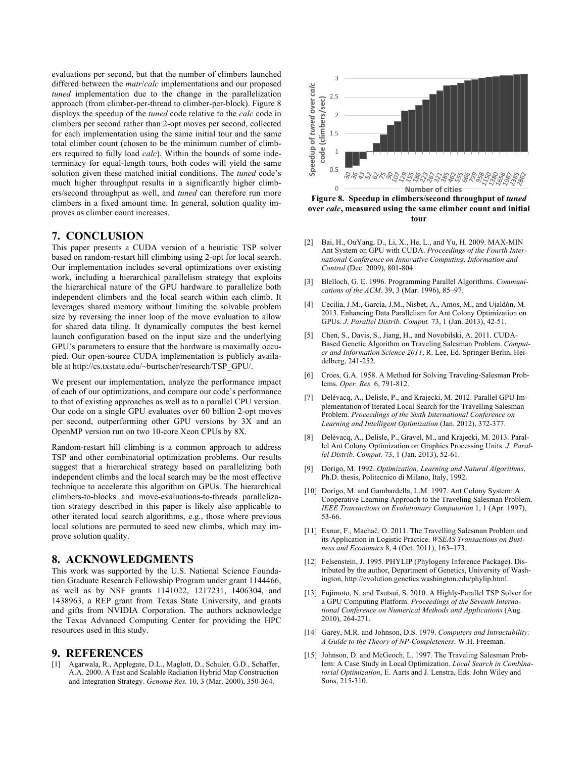evaluations per second, but that the number of climbers launched differed between the *matr*/*calc* implementations and our proposed *tuned* implementation due to the change in the parallelization approach (from climber-per-thread to climber-per-block). Figure 8 displays the speedup of the *tuned* code relative to the *calc* code in climbers per second rather than 2-opt moves per second, collected for each implementation using the same initial tour and the same total climber count (chosen to be the minimum number of climbers required to fully load *calc*). Within the bounds of some indeterminacy for equal-length tours, both codes will yield the same solution given these matched initial conditions. The *tuned* code's much higher throughput results in a significantly higher climbers/second throughput as well, and *tuned* can therefore run more climbers in a fixed amount time. In general, solution quality improves as climber count increases.

#### **7. CONCLUSION**

This paper presents a CUDA version of a heuristic TSP solver based on random-restart hill climbing using 2-opt for local search. Our implementation includes several optimizations over existing work, including a hierarchical parallelism strategy that exploits the hierarchical nature of the GPU hardware to parallelize both independent climbers and the local search within each climb. It leverages shared memory without limiting the solvable problem size by reversing the inner loop of the move evaluation to allow for shared data tiling. It dynamically computes the best kernel launch configuration based on the input size and the underlying GPU's parameters to ensure that the hardware is maximally occupied. Our open-source CUDA implementation is publicly available at http://cs.txstate.edu/~burtscher/research/TSP\_GPU/.

We present our implementation, analyze the performance impact of each of our optimizations, and compare our code's performance to that of existing approaches as well as to a parallel CPU version. Our code on a single GPU evaluates over 60 billion 2-opt moves per second, outperforming other GPU versions by 3X and an OpenMP version run on two 10-core Xeon CPUs by 8X.

Random-restart hill climbing is a common approach to address TSP and other combinatorial optimization problems. Our results suggest that a hierarchical strategy based on parallelizing both independent climbs and the local search may be the most effective technique to accelerate this algorithm on GPUs. The hierarchical climbers-to-blocks and move-evaluations-to-threads parallelization strategy described in this paper is likely also applicable to other iterated local search algorithms, e.g., those where previous local solutions are permuted to seed new climbs, which may improve solution quality.

#### **8. ACKNOWLEDGMENTS**

This work was supported by the U.S. National Science Foundation Graduate Research Fellowship Program under grant 1144466, as well as by NSF grants 1141022, 1217231, 1406304, and 1438963, a REP grant from Texas State University, and grants and gifts from NVIDIA Corporation. The authors acknowledge the Texas Advanced Computing Center for providing the HPC resources used in this study.

#### **9. REFERENCES**

[1] Agarwala, R., Applegate, D.L., Maglott, D., Schuler, G.D., Schaffer, A.A. 2000. A Fast and Scalable Radiation Hybrid Map Construction and Integration Strategy. *Genome Res.* 10, 3 (Mar. 2000), 350-364.



**Figure 8. Speedup in climbers/second throughput of** *tuned* **over** *calc***, measured using the same climber count and initial tour**

- [2] Bai, H., OuYang, D., Li, X., He, L., and Yu, H. 2009. MAX-MIN Ant System on GPU with CUDA. *Proceedings of the Fourth International Conference on Innovative Computing, Information and Control* (Dec. 2009), 801-804.
- [3] Blelloch, G. E. 1996. Programming Parallel Algorithms. *Communications of the ACM*. 39, 3 (Mar. 1996), 85–97.
- [4] Cecilia, J.M., García, J.M., Nisbet, A., Amos, M., and Ujaldón, M. 2013. Enhancing Data Parallelism for Ant Colony Optimization on GPUs. *J. Parallel Distrib. Comput.* 73, 1 (Jan. 2013), 42-51.
- [5] Chen, S., Davis, S., Jiang, H., and Novobilski, A. 2011. CUDA-Based Genetic Algorithm on Traveling Salesman Problem. *Computer and Information Science 2011*, R. Lee, Ed. Springer Berlin, Heidelberg, 241-252.
- [6] Croes, G.A. 1958. A Method for Solving Traveling-Salesman Problems. *Oper. Res.* 6, 791-812.
- [7] Delévacq, A., Delisle, P., and Krajecki, M. 2012. Parallel GPU Implementation of Iterated Local Search for the Travelling Salesman Problem. *Proceedings of the Sixth International Conference on Learning and Intelligent Optimization* (Jan. 2012), 372-377.
- [8] Delévacq, A., Delisle, P., Gravel, M., and Krajecki, M. 2013. Parallel Ant Colony Optimization on Graphics Processing Units. *J. Parallel Distrib. Comput.* 73, 1 (Jan. 2013), 52-61.
- [9] Dorigo, M. 1992. *Optimization, Learning and Natural Algorithms*, Ph.D. thesis, Politecnico di Milano, Italy, 1992.
- [10] Dorigo, M. and Gambardella, L.M. 1997. Ant Colony System: A Cooperative Learning Approach to the Traveling Salesman Problem. *IEEE Transactions on Evolutionary Computation* 1, 1 (Apr. 1997), 53-66.
- [11] Exnar, F., Machač, O. 2011. The Travelling Salesman Problem and its Application in Logistic Practice. *WSEAS Transactions on Business and Economics* 8, 4 (Oct. 2011), 163–173.
- [12] Felsenstein, J. 1995. PHYLIP (Phylogeny Inference Package). Distributed by the author, Department of Genetics, University of Washington, http://evolution.genetics.washington.edu/phylip.html.
- [13] Fujimoto, N. and Tsutsui, S. 2010. A Highly-Parallel TSP Solver for a GPU Computing Platform. *Proceedings of the Seventh International Conference on Numerical Methods and Applications* (Aug. 2010), 264-271.
- [14] Garey, M.R. and Johnson, D.S. 1979. *Computers and Intractability: A Guide to the Theory of NP-Completeness*. W.H. Freeman.
- [15] Johnson, D. and McGeoch, L. 1997. The Traveling Salesman Problem: A Case Study in Local Optimization. *Local Search in Combinatorial Optimization*, E. Aarts and J. Lenstra, Eds. John Wiley and Sons, 215-310.